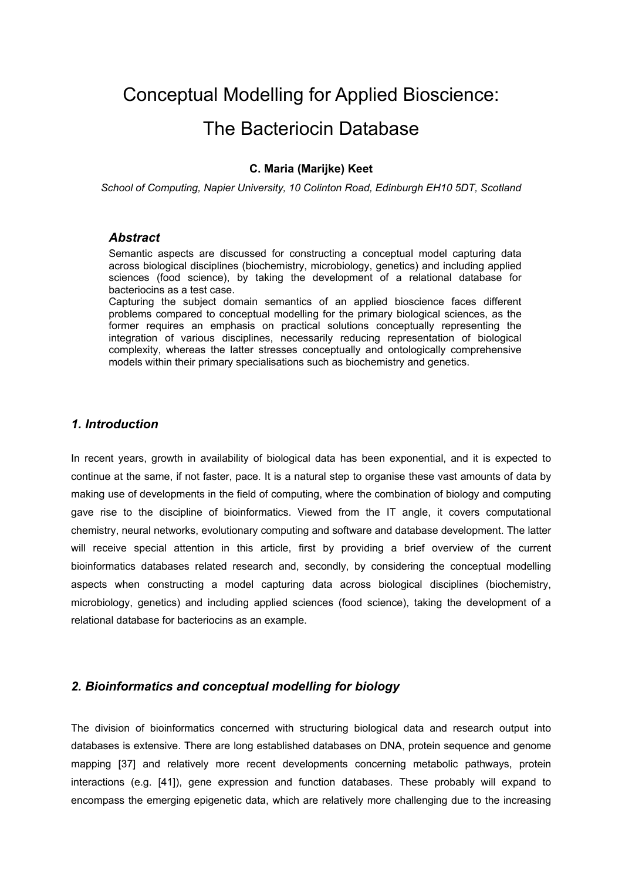# Conceptual Modelling for Applied Bioscience:

# The Bacteriocin Database

### **C. Maria (Marijke) Keet**

*School of Computing, Napier University, 10 Colinton Road, Edinburgh EH10 5DT, Scotland* 

### *Abstract*

Semantic aspects are discussed for constructing a conceptual model capturing data across biological disciplines (biochemistry, microbiology, genetics) and including applied sciences (food science), by taking the development of a relational database for bacteriocins as a test case.

Capturing the subject domain semantics of an applied bioscience faces different problems compared to conceptual modelling for the primary biological sciences, as the former requires an emphasis on practical solutions conceptually representing the integration of various disciplines, necessarily reducing representation of biological complexity, whereas the latter stresses conceptually and ontologically comprehensive models within their primary specialisations such as biochemistry and genetics.

### *1. Introduction*

In recent years, growth in availability of biological data has been exponential, and it is expected to continue at the same, if not faster, pace. It is a natural step to organise these vast amounts of data by making use of developments in the field of computing, where the combination of biology and computing gave rise to the discipline of bioinformatics. Viewed from the IT angle, it covers computational chemistry, neural networks, evolutionary computing and software and database development. The latter will receive special attention in this article, first by providing a brief overview of the current bioinformatics databases related research and, secondly, by considering the conceptual modelling aspects when constructing a model capturing data across biological disciplines (biochemistry, microbiology, genetics) and including applied sciences (food science), taking the development of a relational database for bacteriocins as an example.

## *2. Bioinformatics and conceptual modelling for biology*

The division of bioinformatics concerned with structuring biological data and research output into databases is extensive. There are long established databases on DNA, protein sequence and genome mapping [37] and relatively more recent developments concerning metabolic pathways, protein interactions (e.g. [41]), gene expression and function databases. These probably will expand to encompass the emerging epigenetic data, which are relatively more challenging due to the increasing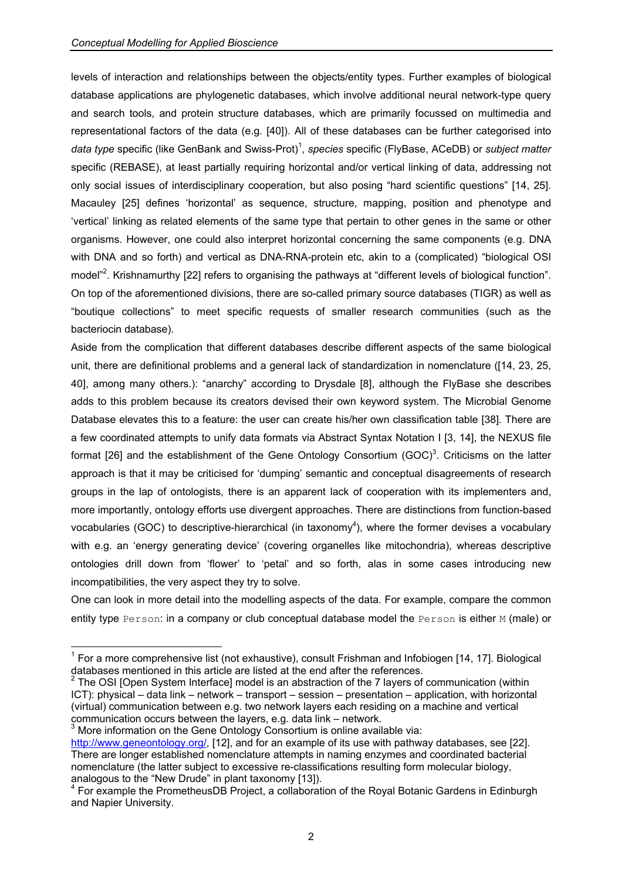levels of interaction and relationships between the objects/entity types. Further examples of biological database applications are phylogenetic databases, which involve additional neural network-type query and search tools, and protein structure databases, which are primarily focussed on multimedia and representational factors of the data (e.g. [40]). All of these databases can be further categorised into data type specific (like GenBank and Swiss-Prot)<sup>1</sup>, species specific (FlyBase, ACeDB) or *subject matter* specific (REBASE), at least partially requiring h[ori](#page-1-0)zontal and/or vertical linking of data, addressing not only social issues of interdisciplinary cooperation, but also posing "hard scientific questions" [14, 25]. Macauley [25] defines 'horizontal' as sequence, structure, mapping, position and phenotype and 'vertical' linking as related elements of the same type that pertain to other genes in the same or other organisms. However, one could also interpret horizontal concerning the same components (e.g. DNA with DNA and so forth) and vertical as DNA-RNA-protein etc, akin to a (complicated) "biological OSI model"<sup>2</sup>. Krishnamurthy [22] refers to organising the pathways at "different levels of biological function". On top [o](#page-1-1)f the aforementioned divisions, there are so-called primary source databases (TIGR) as well as "boutique collections" to meet specific requests of smaller research communities (such as the bacteriocin database).

Aside from the complication that different databases describe different aspects of the same biological unit, there are definitional problems and a general lack of standardization in nomenclature ([14, 23, 25, 40], among many others.): "anarchy" according to Drysdale [8], although the FlyBase she describes adds to this problem because its creators devised their own keyword system. The Microbial Genome Database elevates this to a feature: the user can create his/her own classification table [38]. There are a few coordinated attempts to unify data formats via Abstract Syntax Notation I [3, 14], the NEXUS file format [26] and the establishment of the Gene Ontology Consortium (GOC)<sup>3</sup>. Criticisms on the latter approach is that it may be criticised for 'dumping' semantic and conceptual d[is](#page-1-2)agreements of research groups in the lap of ontologists, there is an apparent lack of cooperation with its implementers and, more importantly, ontology efforts use divergent approaches. There are distinctions from function-based vocabularies (GOC) to descriptive-hierarchical (in taxonomy<sup>4</sup>), where the former devises a vocabulary with e.g. an 'energy generating device' (covering organell[es](#page-1-3) like mitochondria), whereas descriptive ontologies drill down from 'flower' to 'petal' and so forth, alas in some cases introducing new incompatibilities, the very aspect they try to solve.

One can look in more detail into the modelling aspects of the data. For example, compare the common entity type Person: in a company or club conceptual database model the Person is either M (male) or

<span id="page-1-2"></span>3 More information on the Gene Ontology Consortium is online available via:

<span id="page-1-0"></span><sup>&</sup>lt;sup>1</sup> For a more comprehensive list (not exhaustive), consult Frishman and Infobiogen [14, 17]. Biological databases mentioned in this article are listed at the end after the references. 2

<span id="page-1-1"></span> $2$  The OSI [Open System Interface] model is an abstraction of the 7 layers of communication (within ICT): physical – data link – network – transport – session – presentation – application, with horizontal (virtual) communication between e.g. two network layers each residing on a machine and vertical communication occurs between the layers, e.g. data link – network.

http://www.geneontology.org/, [12], and for an example of its use with pathway databases, see [22]. There are longer established nomenclature attempts in naming enzymes and coordinated bacterial nomenclature (the latter subject to excessive re-classifications resulting form molecular biology, analogous to the "New Drude" in plant taxonomy [13]). 4

<span id="page-1-3"></span><sup>&</sup>lt;sup>4</sup> For example the PrometheusDB Project, a collaboration of the Royal Botanic Gardens in Edinburgh and Napier University.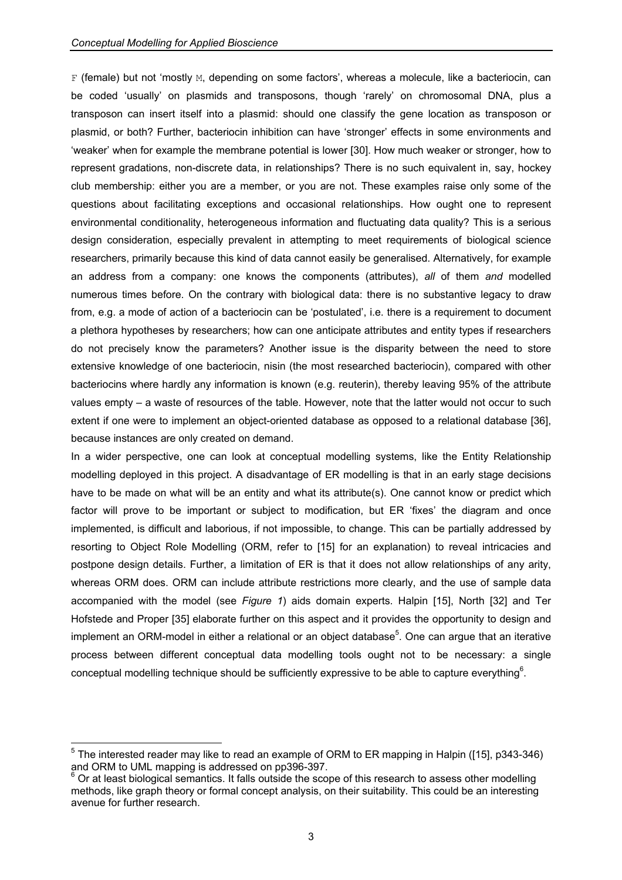F (female) but not 'mostly M, depending on some factors', whereas a molecule, like a bacteriocin, can be coded 'usually' on plasmids and transposons, though 'rarely' on chromosomal DNA, plus a transposon can insert itself into a plasmid: should one classify the gene location as transposon or plasmid, or both? Further, bacteriocin inhibition can have 'stronger' effects in some environments and 'weaker' when for example the membrane potential is lower [30]. How much weaker or stronger, how to represent gradations, non-discrete data, in relationships? There is no such equivalent in, say, hockey club membership: either you are a member, or you are not. These examples raise only some of the questions about facilitating exceptions and occasional relationships. How ought one to represent environmental conditionality, heterogeneous information and fluctuating data quality? This is a serious design consideration, especially prevalent in attempting to meet requirements of biological science researchers, primarily because this kind of data cannot easily be generalised. Alternatively, for example an address from a company: one knows the components (attributes), *all* of them *and* modelled numerous times before. On the contrary with biological data: there is no substantive legacy to draw from, e.g. a mode of action of a bacteriocin can be 'postulated', i.e. there is a requirement to document a plethora hypotheses by researchers; how can one anticipate attributes and entity types if researchers do not precisely know the parameters? Another issue is the disparity between the need to store extensive knowledge of one bacteriocin, nisin (the most researched bacteriocin), compared with other bacteriocins where hardly any information is known (e.g. reuterin), thereby leaving 95% of the attribute values empty – a waste of resources of the table. However, note that the latter would not occur to such extent if one were to implement an object-oriented database as opposed to a relational database [36], because instances are only created on demand.

In a wider perspective, one can look at conceptual modelling systems, like the Entity Relationship modelling deployed in this project. A disadvantage of ER modelling is that in an early stage decisions have to be made on what will be an entity and what its attribute(s). One cannot know or predict which factor will prove to be important or subject to modification, but ER 'fixes' the diagram and once implemented, is difficult and laborious, if not impossible, to change. This can be partially addressed by resorting to Object Role Modelling (ORM, refer to [15] for an explanation) to reveal intricacies and postpone design details. Further, a limitation of ER is that it does not allow relationships of any arity, whereas ORM does. ORM can include attribute restrictions more clearly, and the use of sample data accompanied with the model (see *Figure 1*) aids domain experts. Halpin [15], North [32] and Ter Hofstede and Proper [35] elaborate further on this aspect and it provides the opportunity to design and implement an ORM-model in either a relational or an object database<sup>5</sup>. One can argue that an iterative process between different conceptual data modelling tools ought not to be necessary: a single conceptual modelling technique should be sufficiently expressive to b[e a](#page-2-0)ble to capture everything<sup>6</sup>.

<span id="page-2-0"></span> $<sup>5</sup>$  The interested reader may like to read an example of ORM to ER mapping in Halpin ([15], p343-346)</sup> and ORM to UML mapping is addressed on pp396-397.<br><sup>6</sup> Or at least biological semantics. It falls outside the scope of this research to assess other modelling

methods, like graph theory or formal concept analysis, on their suitability. This could be an interesting avenue for further research.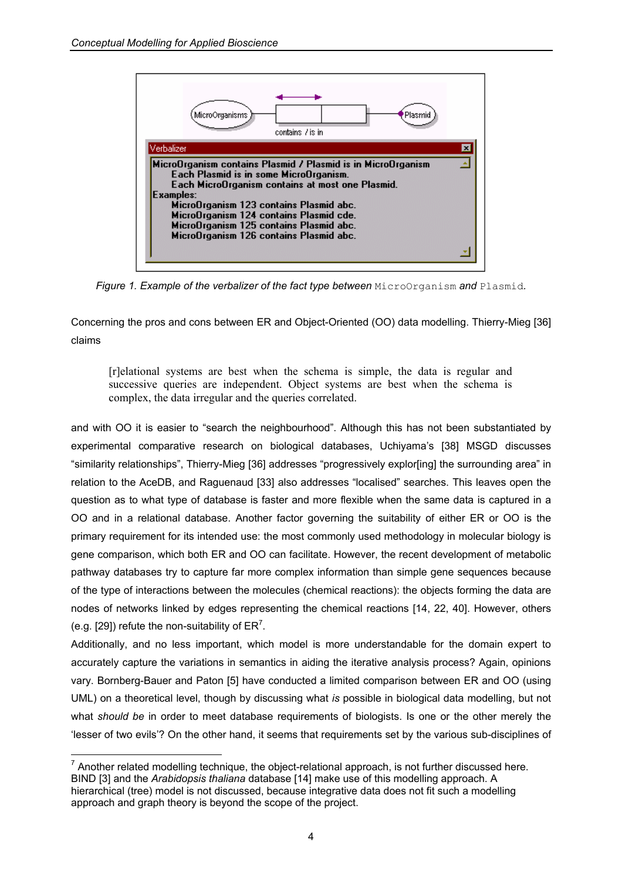

*Figure 1. Example of the verbalizer of the fact type between MicroOrganism and Plasmid.* 

Concerning the pros and cons between ER and Object-Oriented (OO) data modelling. Thierry-Mieg [36] claims

[r]elational systems are best when the schema is simple, the data is regular and successive queries are independent. Object systems are best when the schema is complex, the data irregular and the queries correlated.

and with OO it is easier to "search the neighbourhood". Although this has not been substantiated by experimental comparative research on biological databases, Uchiyama's [38] MSGD discusses "similarity relationships", Thierry-Mieg [36] addresses "progressively explor[ing] the surrounding area" in relation to the AceDB, and Raguenaud [33] also addresses "localised" searches. This leaves open the question as to what type of database is faster and more flexible when the same data is captured in a OO and in a relational database. Another factor governing the suitability of either ER or OO is the primary requirement for its intended use: the most commonly used methodology in molecular biology is gene comparison, which both ER and OO can facilitate. However, the recent development of metabolic pathway databases try to capture far more complex information than simple gene sequences because of the type of interactions between the molecules (chemical reactions): the objects forming the data are nodes of networks linked by edges representing the chemical reactions [14, 22, 40]. However, others (e.g. [29]) refute the non-suitability of  $ER<sup>7</sup>$  $ER<sup>7</sup>$  $ER<sup>7</sup>$ .

Additionally, and no less important, which model is more understandable for the domain expert to accurately capture the variations in semantics in aiding the iterative analysis process? Again, opinions vary. Bornberg-Bauer and Paton [5] have conducted a limited comparison between ER and OO (using UML) on a theoretical level, though by discussing what *is* possible in biological data modelling, but not what *should be* in order to meet database requirements of biologists. Is one or the other merely the 'lesser of two evils'? On the other hand, it seems that requirements set by the various sub-disciplines of

<span id="page-3-0"></span> $\overline{a}$  $<sup>7</sup>$  Another related modelling technique, the object-relational approach, is not further discussed here.</sup> BIND [3] and the *Arabidopsis thaliana* database [14] make use of this modelling approach. A hierarchical (tree) model is not discussed, because integrative data does not fit such a modelling approach and graph theory is beyond the scope of the project.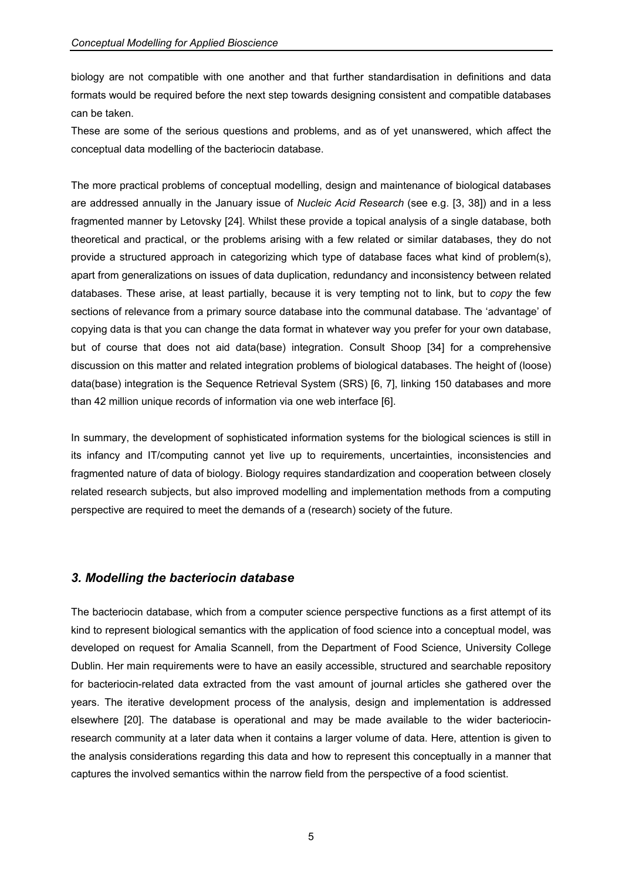biology are not compatible with one another and that further standardisation in definitions and data formats would be required before the next step towards designing consistent and compatible databases can be taken.

These are some of the serious questions and problems, and as of yet unanswered, which affect the conceptual data modelling of the bacteriocin database.

The more practical problems of conceptual modelling, design and maintenance of biological databases are addressed annually in the January issue of *Nucleic Acid Research* (see e.g. [3, 38]) and in a less fragmented manner by Letovsky [24]. Whilst these provide a topical analysis of a single database, both theoretical and practical, or the problems arising with a few related or similar databases, they do not provide a structured approach in categorizing which type of database faces what kind of problem(s), apart from generalizations on issues of data duplication, redundancy and inconsistency between related databases. These arise, at least partially, because it is very tempting not to link, but to *copy* the few sections of relevance from a primary source database into the communal database. The 'advantage' of copying data is that you can change the data format in whatever way you prefer for your own database, but of course that does not aid data(base) integration. Consult Shoop [34] for a comprehensive discussion on this matter and related integration problems of biological databases. The height of (loose) data(base) integration is the Sequence Retrieval System (SRS) [6, 7], linking 150 databases and more than 42 million unique records of information via one web interface [6].

In summary, the development of sophisticated information systems for the biological sciences is still in its infancy and IT/computing cannot yet live up to requirements, uncertainties, inconsistencies and fragmented nature of data of biology. Biology requires standardization and cooperation between closely related research subjects, but also improved modelling and implementation methods from a computing perspective are required to meet the demands of a (research) society of the future.

## *3. Modelling the bacteriocin database*

The bacteriocin database, which from a computer science perspective functions as a first attempt of its kind to represent biological semantics with the application of food science into a conceptual model, was developed on request for Amalia Scannell, from the Department of Food Science, University College Dublin. Her main requirements were to have an easily accessible, structured and searchable repository for bacteriocin-related data extracted from the vast amount of journal articles she gathered over the years. The iterative development process of the analysis, design and implementation is addressed elsewhere [20]. The database is operational and may be made available to the wider bacteriocinresearch community at a later data when it contains a larger volume of data. Here, attention is given to the analysis considerations regarding this data and how to represent this conceptually in a manner that captures the involved semantics within the narrow field from the perspective of a food scientist.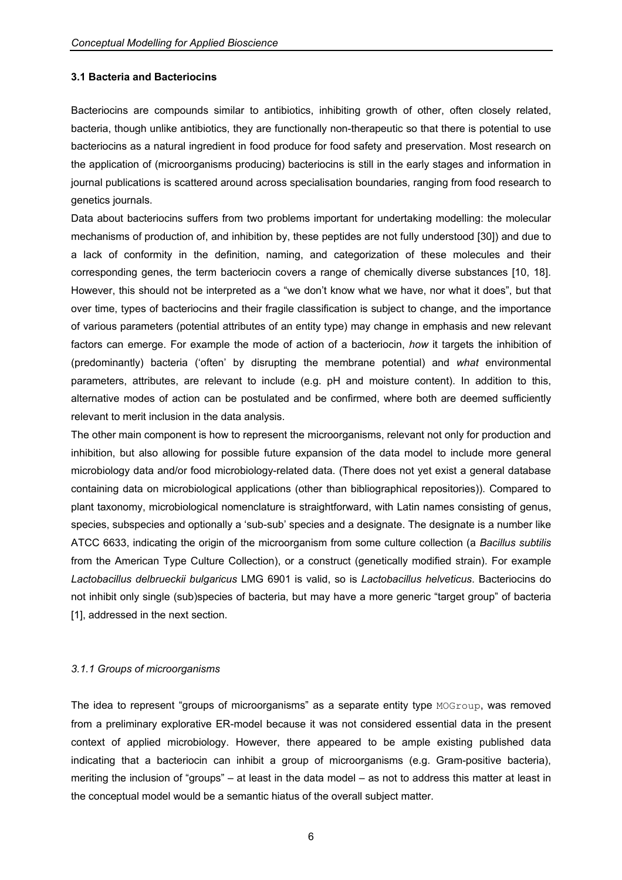### **3.1 Bacteria and Bacteriocins**

Bacteriocins are compounds similar to antibiotics, inhibiting growth of other, often closely related, bacteria, though unlike antibiotics, they are functionally non-therapeutic so that there is potential to use bacteriocins as a natural ingredient in food produce for food safety and preservation. Most research on the application of (microorganisms producing) bacteriocins is still in the early stages and information in journal publications is scattered around across specialisation boundaries, ranging from food research to genetics journals.

Data about bacteriocins suffers from two problems important for undertaking modelling: the molecular mechanisms of production of, and inhibition by, these peptides are not fully understood [30]) and due to a lack of conformity in the definition, naming, and categorization of these molecules and their corresponding genes, the term bacteriocin covers a range of chemically diverse substances [10, 18]. However, this should not be interpreted as a "we don't know what we have, nor what it does", but that over time, types of bacteriocins and their fragile classification is subject to change, and the importance of various parameters (potential attributes of an entity type) may change in emphasis and new relevant factors can emerge. For example the mode of action of a bacteriocin, *how* it targets the inhibition of (predominantly) bacteria ('often' by disrupting the membrane potential) and *what* environmental parameters, attributes, are relevant to include (e.g. pH and moisture content). In addition to this, alternative modes of action can be postulated and be confirmed, where both are deemed sufficiently relevant to merit inclusion in the data analysis.

The other main component is how to represent the microorganisms, relevant not only for production and inhibition, but also allowing for possible future expansion of the data model to include more general microbiology data and/or food microbiology-related data. (There does not yet exist a general database containing data on microbiological applications (other than bibliographical repositories)). Compared to plant taxonomy, microbiological nomenclature is straightforward, with Latin names consisting of genus, species, subspecies and optionally a 'sub-sub' species and a designate. The designate is a number like ATCC 6633, indicating the origin of the microorganism from some culture collection (a *Bacillus subtilis* from the American Type Culture Collection), or a construct (genetically modified strain). For example *Lactobacillus delbrueckii bulgaricus* LMG 6901 is valid, so is *Lactobacillus helveticus*. Bacteriocins do not inhibit only single (sub)species of bacteria, but may have a more generic "target group" of bacteria [1], addressed in the next section.

#### *3.1.1 Groups of microorganisms*

The idea to represent "groups of microorganisms" as a separate entity type MOGroup, was removed from a preliminary explorative ER-model because it was not considered essential data in the present context of applied microbiology. However, there appeared to be ample existing published data indicating that a bacteriocin can inhibit a group of microorganisms (e.g. Gram-positive bacteria), meriting the inclusion of "groups" – at least in the data model – as not to address this matter at least in the conceptual model would be a semantic hiatus of the overall subject matter.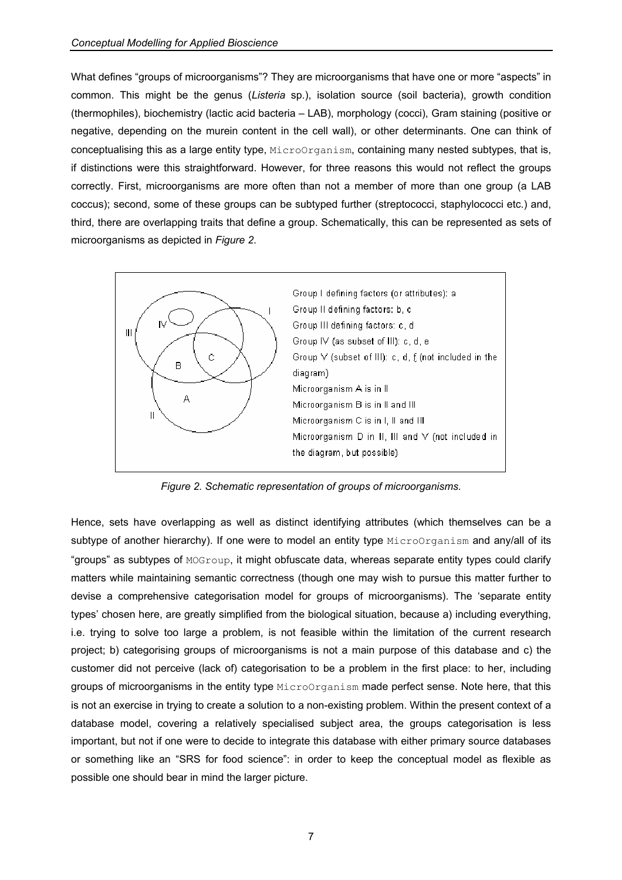What defines "groups of microorganisms"? They are microorganisms that have one or more "aspects" in common. This might be the genus (*Listeria* sp.), isolation source (soil bacteria), growth condition (thermophiles), biochemistry (lactic acid bacteria – LAB), morphology (cocci), Gram staining (positive or negative, depending on the murein content in the cell wall), or other determinants. One can think of conceptualising this as a large entity type, MicroOrganism, containing many nested subtypes, that is, if distinctions were this straightforward. However, for three reasons this would not reflect the groups correctly. First, microorganisms are more often than not a member of more than one group (a LAB coccus); second, some of these groups can be subtyped further (streptococci, staphylococci etc.) and, third, there are overlapping traits that define a group. Schematically, this can be represented as sets of microorganisms as depicted in *Figure 2*.



*Figure 2. Schematic representation of groups of microorganisms.* 

Hence, sets have overlapping as well as distinct identifying attributes (which themselves can be a subtype of another hierarchy). If one were to model an entity type MicroOrganism and any/all of its "groups" as subtypes of MOGroup, it might obfuscate data, whereas separate entity types could clarify matters while maintaining semantic correctness (though one may wish to pursue this matter further to devise a comprehensive categorisation model for groups of microorganisms). The 'separate entity types' chosen here, are greatly simplified from the biological situation, because a) including everything, i.e. trying to solve too large a problem, is not feasible within the limitation of the current research project; b) categorising groups of microorganisms is not a main purpose of this database and c) the customer did not perceive (lack of) categorisation to be a problem in the first place: to her, including groups of microorganisms in the entity type MicroOrganism made perfect sense. Note here, that this is not an exercise in trying to create a solution to a non-existing problem. Within the present context of a database model, covering a relatively specialised subject area, the groups categorisation is less important, but not if one were to decide to integrate this database with either primary source databases or something like an "SRS for food science": in order to keep the conceptual model as flexible as possible one should bear in mind the larger picture.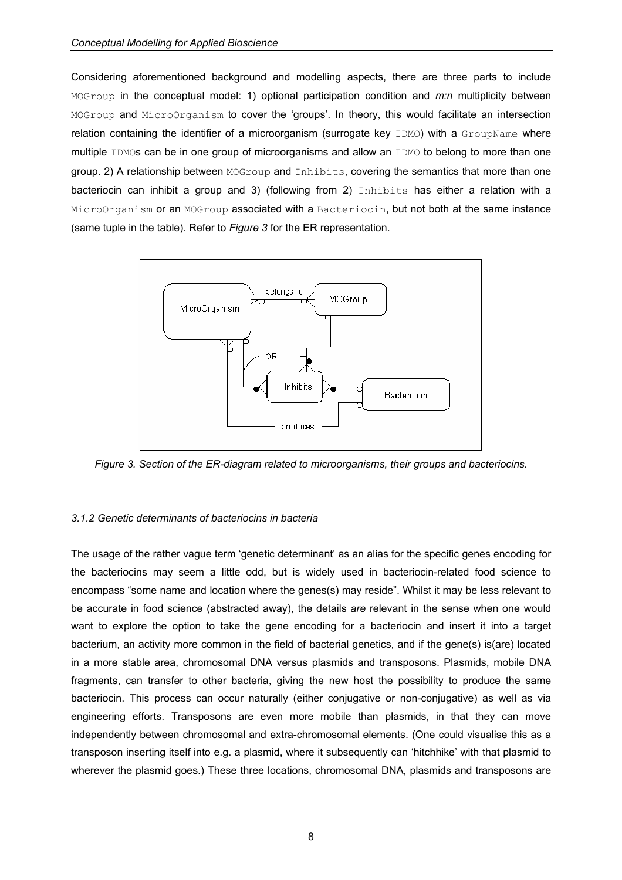Considering aforementioned background and modelling aspects, there are three parts to include MOGroup in the conceptual model: 1) optional participation condition and *m:n* multiplicity between MOGroup and MicroOrganism to cover the 'groups'. In theory, this would facilitate an intersection relation containing the identifier of a microorganism (surrogate key IDMO) with a GroupName where multiple IDMOs can be in one group of microorganisms and allow an IDMO to belong to more than one group. 2) A relationship between MOGroup and Inhibits, covering the semantics that more than one bacteriocin can inhibit a group and 3) (following from 2) Inhibits has either a relation with a MicroOrganism or an MOGroup associated with a Bacteriocin, but not both at the same instance (same tuple in the table). Refer to *Figure 3* for the ER representation.



*Figure 3. Section of the ER-diagram related to microorganisms, their groups and bacteriocins.* 

#### *3.1.2 Genetic determinants of bacteriocins in bacteria*

The usage of the rather vague term 'genetic determinant' as an alias for the specific genes encoding for the bacteriocins may seem a little odd, but is widely used in bacteriocin-related food science to encompass "some name and location where the genes(s) may reside". Whilst it may be less relevant to be accurate in food science (abstracted away), the details *are* relevant in the sense when one would want to explore the option to take the gene encoding for a bacteriocin and insert it into a target bacterium, an activity more common in the field of bacterial genetics, and if the gene(s) is(are) located in a more stable area, chromosomal DNA versus plasmids and transposons. Plasmids, mobile DNA fragments, can transfer to other bacteria, giving the new host the possibility to produce the same bacteriocin. This process can occur naturally (either conjugative or non-conjugative) as well as via engineering efforts. Transposons are even more mobile than plasmids, in that they can move independently between chromosomal and extra-chromosomal elements. (One could visualise this as a transposon inserting itself into e.g. a plasmid, where it subsequently can 'hitchhike' with that plasmid to wherever the plasmid goes.) These three locations, chromosomal DNA, plasmids and transposons are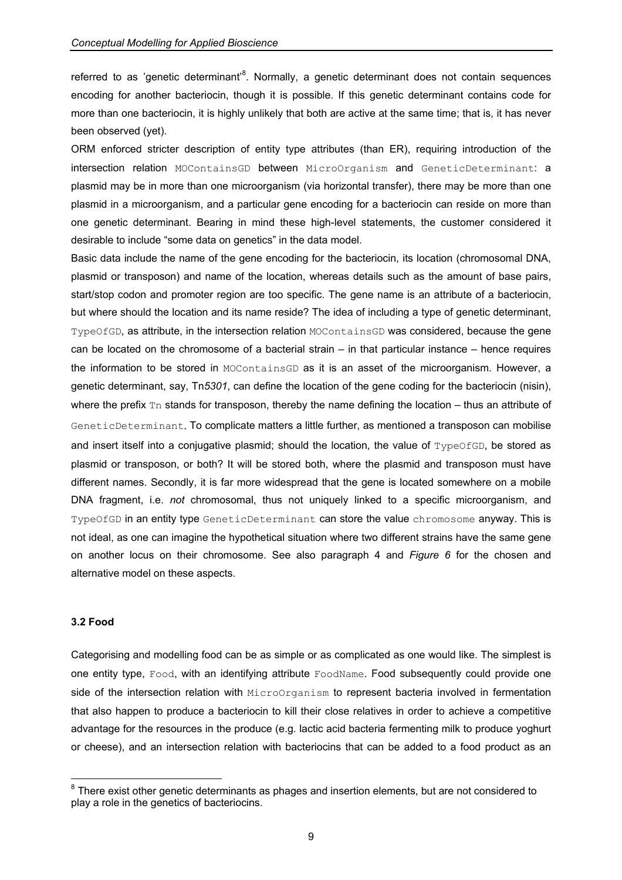referred to as 'genetic determinant'<sup>8</sup>[.](#page-8-0) Normally, a genetic determinant does not contain sequences encoding for another bacteriocin, though it is possible. If this genetic determinant contains code for more than one bacteriocin, it is highly unlikely that both are active at the same time; that is, it has never been observed (yet).

ORM enforced stricter description of entity type attributes (than ER), requiring introduction of the intersection relation MOContainsGD between MicroOrganism and GeneticDeterminant: a plasmid may be in more than one microorganism (via horizontal transfer), there may be more than one plasmid in a microorganism, and a particular gene encoding for a bacteriocin can reside on more than one genetic determinant. Bearing in mind these high-level statements, the customer considered it desirable to include "some data on genetics" in the data model.

Basic data include the name of the gene encoding for the bacteriocin, its location (chromosomal DNA, plasmid or transposon) and name of the location, whereas details such as the amount of base pairs, start/stop codon and promoter region are too specific. The gene name is an attribute of a bacteriocin, but where should the location and its name reside? The idea of including a type of genetic determinant, TypeOfGD, as attribute, in the intersection relation MOContainsGD was considered, because the gene can be located on the chromosome of a bacterial strain – in that particular instance – hence requires the information to be stored in MOContainsGD as it is an asset of the microorganism. However, a genetic determinant, say, Tn*5301*, can define the location of the gene coding for the bacteriocin (nisin), where the prefix  $\text{Tr}$  stands for transposon, thereby the name defining the location – thus an attribute of GeneticDeterminant. To complicate matters a little further, as mentioned a transposon can mobilise and insert itself into a conjugative plasmid; should the location, the value of  $T_{\text{VPeO}}f_{\text{GD}}$ , be stored as plasmid or transposon, or both? It will be stored both, where the plasmid and transposon must have different names. Secondly, it is far more widespread that the gene is located somewhere on a mobile DNA fragment, i.e. *not* chromosomal, thus not uniquely linked to a specific microorganism, and TypeOfGD in an entity type GeneticDeterminant can store the value chromosome anyway. This is not ideal, as one can imagine the hypothetical situation where two different strains have the same gene on another locus on their chromosome. See also paragraph 4 and *Figure 6* for the chosen and alternative model on these aspects.

### **3.2 Food**

 $\overline{a}$ 

Categorising and modelling food can be as simple or as complicated as one would like. The simplest is one entity type, Food, with an identifying attribute FoodName. Food subsequently could provide one side of the intersection relation with MicroOrganism to represent bacteria involved in fermentation that also happen to produce a bacteriocin to kill their close relatives in order to achieve a competitive advantage for the resources in the produce (e.g. lactic acid bacteria fermenting milk to produce yoghurt or cheese), and an intersection relation with bacteriocins that can be added to a food product as an

<span id="page-8-0"></span> $8$  There exist other genetic determinants as phages and insertion elements, but are not considered to play a role in the genetics of bacteriocins.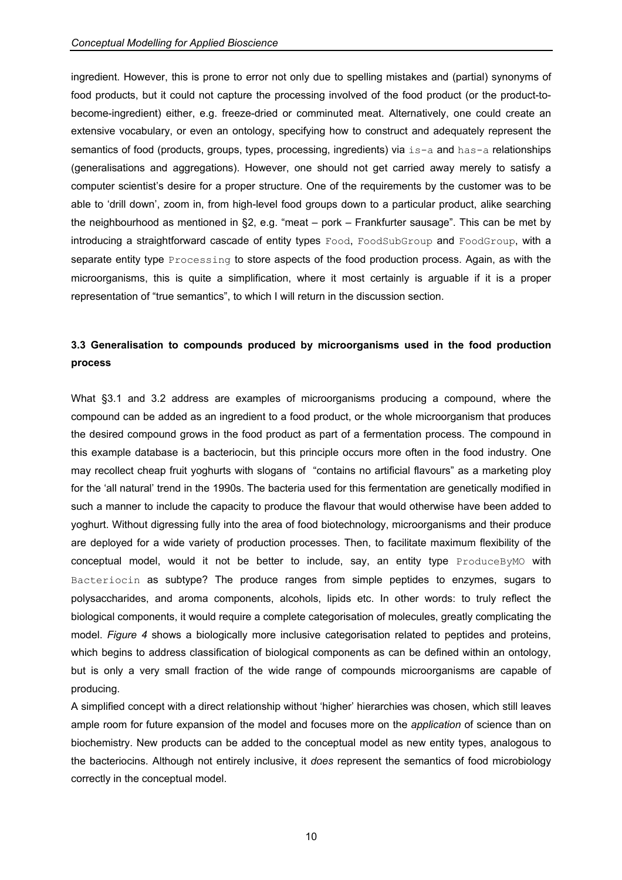ingredient. However, this is prone to error not only due to spelling mistakes and (partial) synonyms of food products, but it could not capture the processing involved of the food product (or the product-tobecome-ingredient) either, e.g. freeze-dried or comminuted meat. Alternatively, one could create an extensive vocabulary, or even an ontology, specifying how to construct and adequately represent the semantics of food (products, groups, types, processing, ingredients) via is-a and has-a relationships (generalisations and aggregations). However, one should not get carried away merely to satisfy a computer scientist's desire for a proper structure. One of the requirements by the customer was to be able to 'drill down', zoom in, from high-level food groups down to a particular product, alike searching the neighbourhood as mentioned in §2, e.g. "meat – pork – Frankfurter sausage". This can be met by introducing a straightforward cascade of entity types Food, FoodSubGroup and FoodGroup, with a separate entity type **Processing** to store aspects of the food production process. Again, as with the microorganisms, this is quite a simplification, where it most certainly is arguable if it is a proper representation of "true semantics", to which I will return in the discussion section.

# **3.3 Generalisation to compounds produced by microorganisms used in the food production process**

What §3.1 and 3.2 address are examples of microorganisms producing a compound, where the compound can be added as an ingredient to a food product, or the whole microorganism that produces the desired compound grows in the food product as part of a fermentation process. The compound in this example database is a bacteriocin, but this principle occurs more often in the food industry. One may recollect cheap fruit yoghurts with slogans of "contains no artificial flavours" as a marketing ploy for the 'all natural' trend in the 1990s. The bacteria used for this fermentation are genetically modified in such a manner to include the capacity to produce the flavour that would otherwise have been added to yoghurt. Without digressing fully into the area of food biotechnology, microorganisms and their produce are deployed for a wide variety of production processes. Then, to facilitate maximum flexibility of the conceptual model, would it not be better to include, say, an entity type ProduceByMO with Bacteriocin as subtype? The produce ranges from simple peptides to enzymes, sugars to polysaccharides, and aroma components, alcohols, lipids etc. In other words: to truly reflect the biological components, it would require a complete categorisation of molecules, greatly complicating the model. *Figure 4* shows a biologically more inclusive categorisation related to peptides and proteins, which begins to address classification of biological components as can be defined within an ontology, but is only a very small fraction of the wide range of compounds microorganisms are capable of producing.

A simplified concept with a direct relationship without 'higher' hierarchies was chosen, which still leaves ample room for future expansion of the model and focuses more on the *application* of science than on biochemistry. New products can be added to the conceptual model as new entity types, analogous to the bacteriocins. Although not entirely inclusive, it *does* represent the semantics of food microbiology correctly in the conceptual model.

10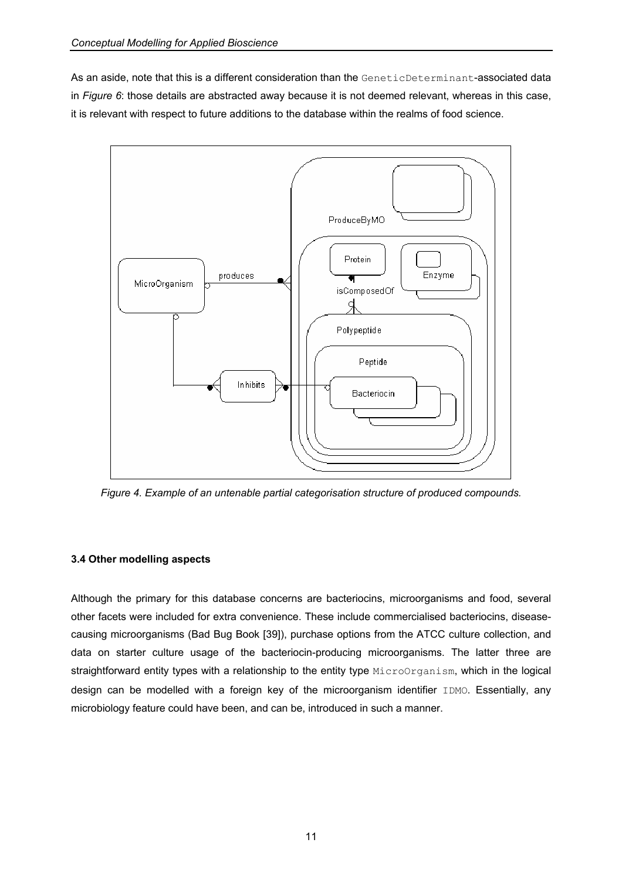As an aside, note that this is a different consideration than the GeneticDeterminant-associated data in *Figure 6*: those details are abstracted away because it is not deemed relevant, whereas in this case, it is relevant with respect to future additions to the database within the realms of food science.



*Figure 4. Example of an untenable partial categorisation structure of produced compounds.* 

# **3.4 Other modelling aspects**

Although the primary for this database concerns are bacteriocins, microorganisms and food, several other facets were included for extra convenience. These include commercialised bacteriocins, diseasecausing microorganisms (Bad Bug Book [39]), purchase options from the ATCC culture collection, and data on starter culture usage of the bacteriocin-producing microorganisms. The latter three are straightforward entity types with a relationship to the entity type MicroOrganism, which in the logical design can be modelled with a foreign key of the microorganism identifier IDMO. Essentially, any microbiology feature could have been, and can be, introduced in such a manner.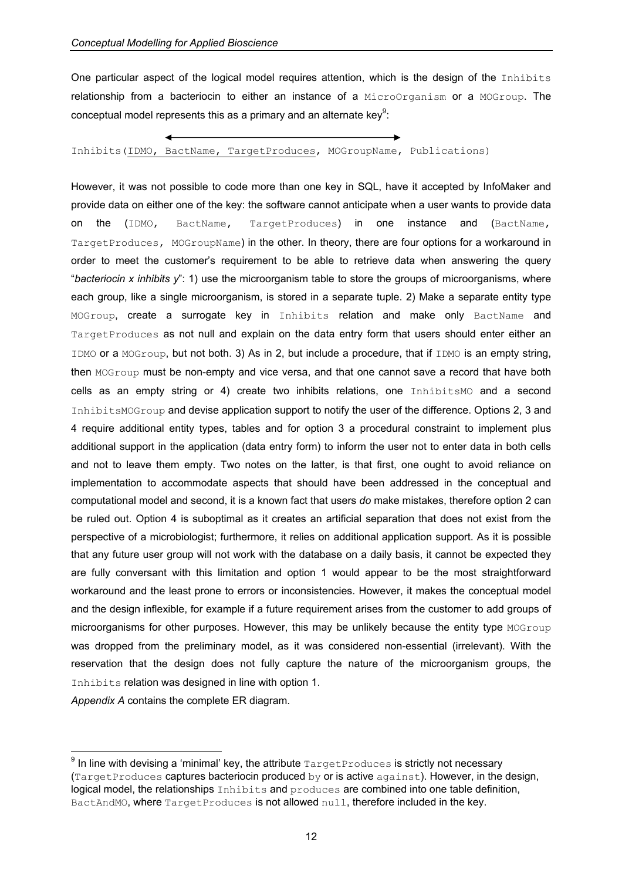One particular aspect of the logical model requires attention, which is the design of the Inhibits relationship from a bacteriocin to either an instance of a MicroOrganism or a MOGroup. The conceptual model represents this as a primary and an alternate key $9$ :

Inhibits(IDMO, BactName, TargetProduces, MOGroupName, Publications)

However, it was not possible to code more than one key in SQL, have it accepted by InfoMaker and provide data on either one of the key: the software cannot anticipate when a user wants to provide data on the (IDMO, BactName, TargetProduces) in one instance and (BactName, TargetProduces, MOGroupName) in the other. In theory, there are four options for a workaround in order to meet the customer's requirement to be able to retrieve data when answering the query "*bacteriocin x inhibits y*": 1) use the microorganism table to store the groups of microorganisms, where each group, like a single microorganism, is stored in a separate tuple. 2) Make a separate entity type MOGroup, create a surrogate key in Inhibits relation and make only BactName and TargetProduces as not null and explain on the data entry form that users should enter either an IDMO or a MOGroup, but not both. 3) As in 2, but include a procedure, that if IDMO is an empty string, then MOGroup must be non-empty and vice versa, and that one cannot save a record that have both cells as an empty string or 4) create two inhibits relations, one InhibitsMO and a second InhibitsMOGroup and devise application support to notify the user of the difference. Options 2, 3 and 4 require additional entity types, tables and for option 3 a procedural constraint to implement plus additional support in the application (data entry form) to inform the user not to enter data in both cells and not to leave them empty. Two notes on the latter, is that first, one ought to avoid reliance on implementation to accommodate aspects that should have been addressed in the conceptual and computational model and second, it is a known fact that users *do* make mistakes, therefore option 2 can be ruled out. Option 4 is suboptimal as it creates an artificial separation that does not exist from the perspective of a microbiologist; furthermore, it relies on additional application support. As it is possible that any future user group will not work with the database on a daily basis, it cannot be expected they are fully conversant with this limitation and option 1 would appear to be the most straightforward workaround and the least prone to errors or inconsistencies. However, it makes the conceptual model and the design inflexible, for example if a future requirement arises from the customer to add groups of microorganisms for other purposes. However, this may be unlikely because the entity type MOGroup was dropped from the preliminary model, as it was considered non-essential (irrelevant). With the reservation that the design does not fully capture the nature of the microorganism groups, the Inhibits relation was designed in line with option 1.

*Appendix A* contains the complete ER diagram.

<span id="page-11-0"></span> $^9$  In line with devising a 'minimal' key, the attribute  $\texttt{TargetProducts}$  is strictly not necessary (TargetProduces captures bacteriocin produced by or is active against). However, in the design, logical model, the relationships Inhibits and produces are combined into one table definition, BactAndMO, where TargetProduces is not allowed null, therefore included in the key.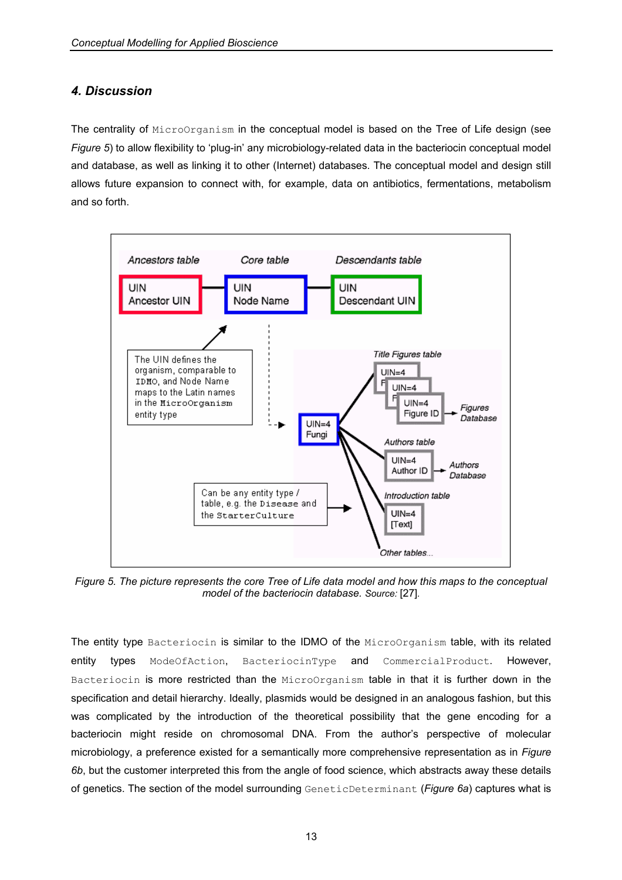# *4. Discussion*

The centrality of MicroOrganism in the conceptual model is based on the Tree of Life design (see *Figure 5*) to allow flexibility to 'plug-in' any microbiology-related data in the bacteriocin conceptual model and database, as well as linking it to other (Internet) databases. The conceptual model and design still allows future expansion to connect with, for example, data on antibiotics, fermentations, metabolism and so forth.



*Figure 5. The picture represents the core Tree of Life data model and how this maps to the conceptual model of the bacteriocin database. Source:* [27]*.*

The entity type Bacteriocin is similar to the IDMO of the MicroOrganism table, with its related entity types ModeOfAction, BacteriocinType and CommercialProduct. However, Bacteriocin is more restricted than the MicroOrganism table in that it is further down in the specification and detail hierarchy. Ideally, plasmids would be designed in an analogous fashion, but this was complicated by the introduction of the theoretical possibility that the gene encoding for a bacteriocin might reside on chromosomal DNA. From the author's perspective of molecular microbiology, a preference existed for a semantically more comprehensive representation as in *Figure 6b*, but the customer interpreted this from the angle of food science, which abstracts away these details of genetics. The section of the model surrounding GeneticDeterminant (*Figure 6a*) captures what is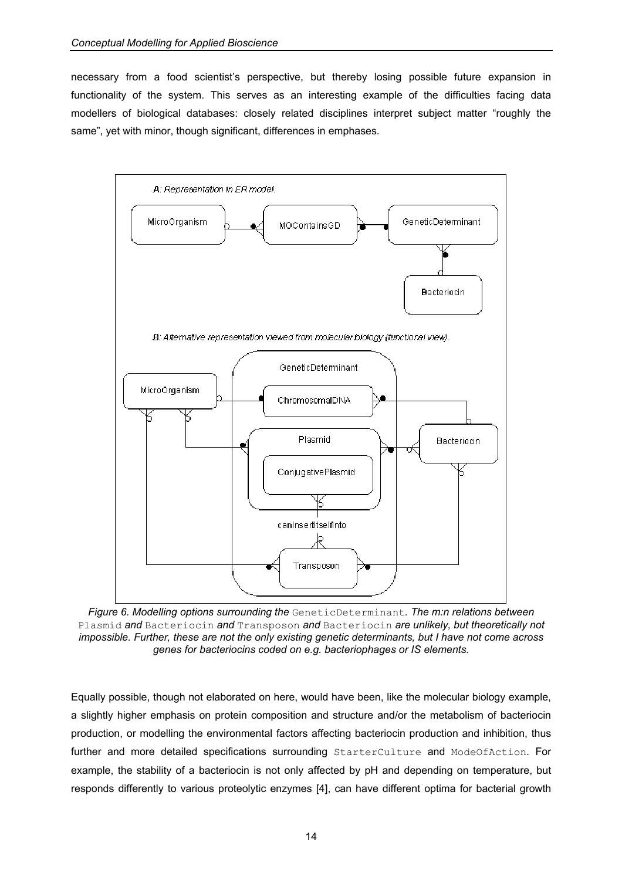necessary from a food scientist's perspective, but thereby losing possible future expansion in functionality of the system. This serves as an interesting example of the difficulties facing data modellers of biological databases: closely related disciplines interpret subject matter "roughly the same", yet with minor, though significant, differences in emphases.



*Figure 6. Modelling options surrounding the* GeneticDeterminant*. The m:n relations between*  Plasmid *and* Bacteriocin *and* Transposon *and* Bacteriocin *are unlikely, but theoretically not impossible. Further, these are not the only existing genetic determinants, but I have not come across genes for bacteriocins coded on e.g. bacteriophages or IS elements.* 

Equally possible, though not elaborated on here, would have been, like the molecular biology example, a slightly higher emphasis on protein composition and structure and/or the metabolism of bacteriocin production, or modelling the environmental factors affecting bacteriocin production and inhibition, thus further and more detailed specifications surrounding StarterCulture and ModeOfAction. For example, the stability of a bacteriocin is not only affected by pH and depending on temperature, but responds differently to various proteolytic enzymes [4], can have different optima for bacterial growth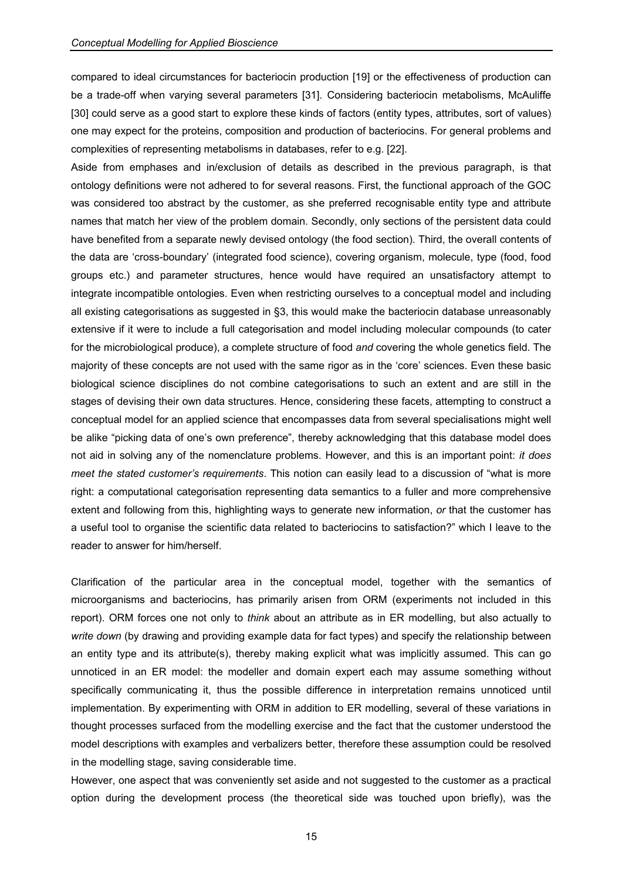compared to ideal circumstances for bacteriocin production [19] or the effectiveness of production can be a trade-off when varying several parameters [31]. Considering bacteriocin metabolisms, McAuliffe [30] could serve as a good start to explore these kinds of factors (entity types, attributes, sort of values) one may expect for the proteins, composition and production of bacteriocins. For general problems and complexities of representing metabolisms in databases, refer to e.g. [22].

Aside from emphases and in/exclusion of details as described in the previous paragraph, is that ontology definitions were not adhered to for several reasons. First, the functional approach of the GOC was considered too abstract by the customer, as she preferred recognisable entity type and attribute names that match her view of the problem domain. Secondly, only sections of the persistent data could have benefited from a separate newly devised ontology (the food section). Third, the overall contents of the data are 'cross-boundary' (integrated food science), covering organism, molecule, type (food, food groups etc.) and parameter structures, hence would have required an unsatisfactory attempt to integrate incompatible ontologies. Even when restricting ourselves to a conceptual model and including all existing categorisations as suggested in §3, this would make the bacteriocin database unreasonably extensive if it were to include a full categorisation and model including molecular compounds (to cater for the microbiological produce), a complete structure of food *and* covering the whole genetics field. The majority of these concepts are not used with the same rigor as in the 'core' sciences. Even these basic biological science disciplines do not combine categorisations to such an extent and are still in the stages of devising their own data structures. Hence, considering these facets, attempting to construct a conceptual model for an applied science that encompasses data from several specialisations might well be alike "picking data of one's own preference", thereby acknowledging that this database model does not aid in solving any of the nomenclature problems. However, and this is an important point: *it does meet the stated customer's requirements*. This notion can easily lead to a discussion of "what is more right: a computational categorisation representing data semantics to a fuller and more comprehensive extent and following from this, highlighting ways to generate new information, *or* that the customer has a useful tool to organise the scientific data related to bacteriocins to satisfaction?" which I leave to the reader to answer for him/herself.

Clarification of the particular area in the conceptual model, together with the semantics of microorganisms and bacteriocins, has primarily arisen from ORM (experiments not included in this report). ORM forces one not only to *think* about an attribute as in ER modelling, but also actually to *write down* (by drawing and providing example data for fact types) and specify the relationship between an entity type and its attribute(s), thereby making explicit what was implicitly assumed. This can go unnoticed in an ER model: the modeller and domain expert each may assume something without specifically communicating it, thus the possible difference in interpretation remains unnoticed until implementation. By experimenting with ORM in addition to ER modelling, several of these variations in thought processes surfaced from the modelling exercise and the fact that the customer understood the model descriptions with examples and verbalizers better, therefore these assumption could be resolved in the modelling stage, saving considerable time.

However, one aspect that was conveniently set aside and not suggested to the customer as a practical option during the development process (the theoretical side was touched upon briefly), was the

15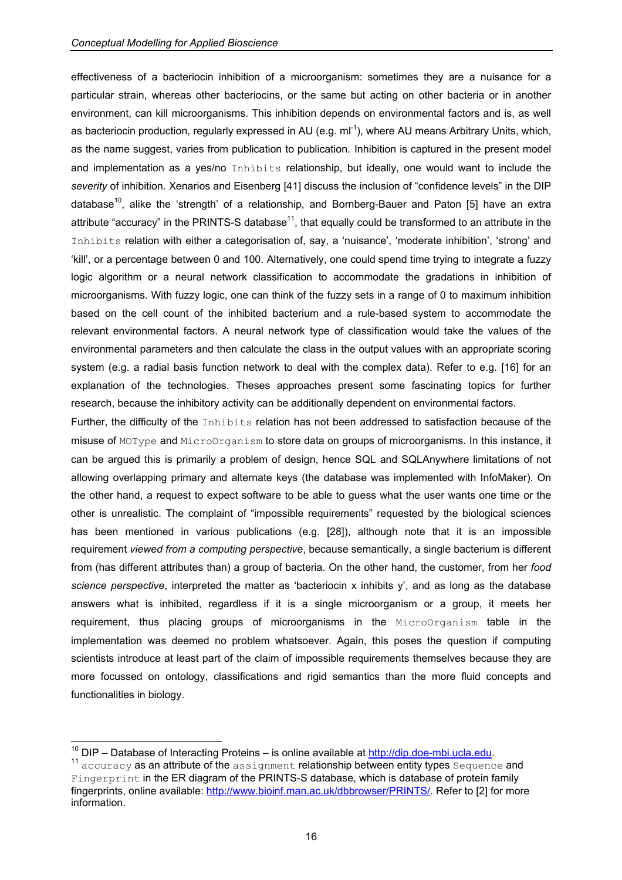effectiveness of a bacteriocin inhibition of a microorganism: sometimes they are a nuisance for a particular strain, whereas other bacteriocins, or the same but acting on other bacteria or in another environment, can kill microorganisms. This inhibition depends on environmental factors and is, as well as bacteriocin production, regularly expressed in AU (e.g.  $ml^{-1}$ ), where AU means Arbitrary Units, which, as the name suggest, varies from publication to publication. Inhibition is captured in the present model and implementation as a yes/no Inhibits relationship, but ideally, one would want to include the *severity* of inhibition. Xenarios and Eisenberg [41] discuss the inclusion of "confidence levels" in the DIP database<sup>10</sup>, alike the 'strength' of a relationship, and Bornberg-Bauer and Paton [5] have an extra attribute "accuracy" in the PRINTS-S database $<sup>11</sup>$ , that equally could be transformed to an attribute in the</sup> Inhibits relation with either a categorisation of, say, a 'nuisance', 'moderate inhibition', 'strong' and 'kill', or a percentage between 0 and 100. Alternatively, one could spend time trying to integrate a fuzzy logic algorithm or a neural network classification to accommodate the gradations in inhibition of microorganisms. With fuzzy logic, one can think of the fuzzy sets in a range of 0 to maximum inhibition based on the cell count of the inhibited bacterium and a rule-based system to accommodate the relevant environmental factors. A neural network type of classification would take the values of the environmental parameters and then calculate the class in the output values with an appropriate scoring system (e.g. a radial basis function network to deal with the complex data). Refer to e.g. [16] for an explanation of the technologies. Theses approaches present some fascinating topics for further research, because the inhibitory activity can be additionally dependent on environmental factors.

Further, the difficulty of the Inhibits relation has not been addressed to satisfaction because of the misuse of MOType and MicroOrganism to store data on groups of microorganisms. In this instance, it can be argued this is primarily a problem of design, hence SQL and SQLAnywhere limitations of not allowing overlapping primary and alternate keys (the database was implemented with InfoMaker). On the other hand, a request to expect software to be able to guess what the user wants one time or the other is unrealistic. The complaint of "impossible requirements" requested by the biological sciences has been mentioned in various publications (e.g. [28]), although note that it is an impossible requirement *viewed from a computing perspective*, because semantically, a single bacterium is different from (has different attributes than) a group of bacteria. On the other hand, the customer, from her *food science perspective*, interpreted the matter as 'bacteriocin x inhibits y', and as long as the database answers what is inhibited, regardless if it is a single microorganism or a group, it meets her requirement, thus placing groups of microorganisms in the MicroOrganism table in the implementation was deemed no problem whatsoever. Again, this poses the question if computing scientists introduce at least part of the claim of impossible requirements themselves because they are more focussed on ontology, classifications and rigid semantics than the more fluid concepts and functionalities in biology.

<span id="page-15-0"></span> $10$  DIP – Database of Interacting Proteins – is online available at http://dip.doe-mbi.ucla.edu.

<span id="page-15-1"></span> $11$  accuracy as an attribute of the assignment relationship between entity types Sequence and Fingerprint in the ER diagram of the PRINTS-S database, which is database of protein family fingerprints, online available: http://www.bioinf.man.ac.uk/dbbrowser/PRINTS/. Refer to [2] for more information.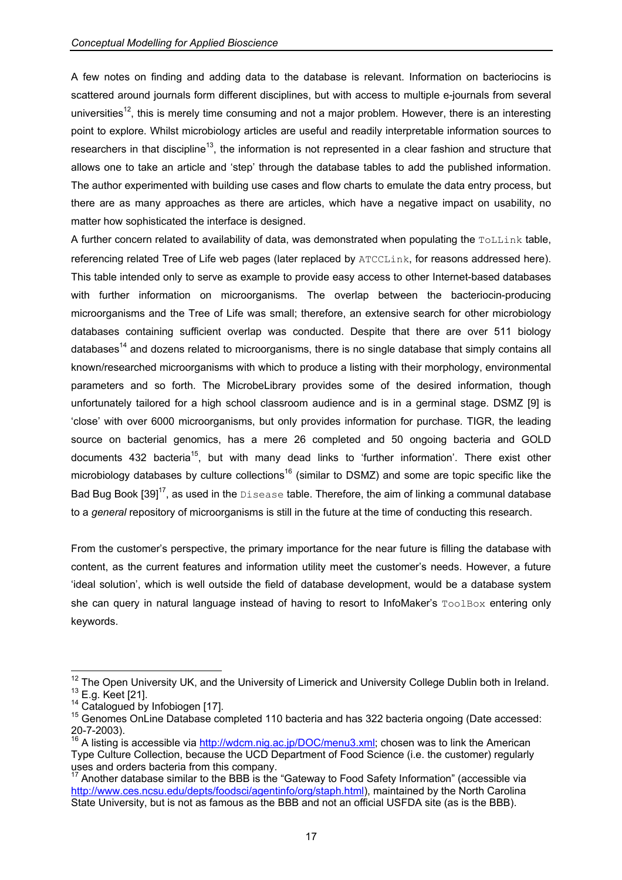A few notes on finding and adding data to the database is relevant. Information on bacteriocins is scattered around journals form different disciplines, but with access to multiple e-journals from several universities<sup>12</sup>, this is merely time consuming and not a major problem. However, there is an interesting point to explore. Whilst microbiology articles are useful and readily interpretable information sources to researchers in that discipline<sup>13</sup>, the information is not represented in a clear fashion and structure that allows one to take an article and 'step' through the database tables to add the published information. The author experimented with building use cases and flow charts to emulate the data entry process, but there are as many approaches as there are articles, which have a negative impact on usability, no matter how sophisticated the interface is designed.

A further concern related to availability of data, was demonstrated when populating the ToLLink table, referencing related Tree of Life web pages (later replaced by ATCCLink, for reasons addressed here). This table intended only to serve as example to provide easy access to other Internet-based databases with further information on microorganisms. The overlap between the bacteriocin-producing microorganisms and the Tree of Life was small; therefore, an extensive search for other microbiology databases containing sufficient overlap was conducted. Despite that there are over 511 biology databases<sup>14</sup> and dozens related to microorganisms, there is no single database that simply contains all known/researched microorganisms with which to produce a listing with their morphology, environmental parameters and so forth. The MicrobeLibrary provides some of the desired information, though unfortunately tailored for a high school classroom audience and is in a germinal stage. DSMZ [9] is 'close' with over 6000 microorganisms, but only provides information for purchase. TIGR, the leading source on bacterial genomics, has a mere 26 completed and 50 ongoing bacteria and GOLD documents 432 bacteria<sup>15</sup>, but with many dead links to 'further information'. There exist other microbiology databases by culture collections<sup>16</sup> (similar to DSMZ) and some are topic specific like the Bad Bug Book  $[39]^{17}$ , as used in the Disease table. Therefore, the aim of linking a communal database to a *general* repository of microorganisms is still in the future at the time of conducting this research.

From the customer's perspective, the primary importance for the near future is filling the database with content, as the current features and information utility meet the customer's needs. However, a future 'ideal solution', which is well outside the field of database development, would be a database system she can query in natural language instead of having to resort to InfoMaker's ToolBox entering only keywords.

<span id="page-16-1"></span><span id="page-16-0"></span> $12$  The Open University UK, and the University of Limerick and University College Dublin both in Ireland. <sup>13</sup> E.g. Keet [21].<br><sup>14</sup> Catalogued by Infobiogen [17].<br><sup>15</sup> Genomes OnLine Database completed 110 bacteria and has 322 bacteria ongoing (Date accessed:

<span id="page-16-2"></span>

<span id="page-16-3"></span><sup>20-7-2003).&</sup>lt;br><sup>16</sup> A listing is accessible via http://wdcm.nig.ac.jp/DOC/menu3.xml; chosen was to link the American

<span id="page-16-4"></span>Type Culture Collection, because the UCD Department of Food Science (i.e. the customer) regularly

<span id="page-16-5"></span> $17$  Another database similar to the BBB is the "Gateway to Food Safety Information" (accessible via http://www.ces.ncsu.edu/depts/foodsci/agentinfo/org/staph.html), maintained by the North Carolina State University, but is not as famous as the BBB and not an official USFDA site (as is the BBB).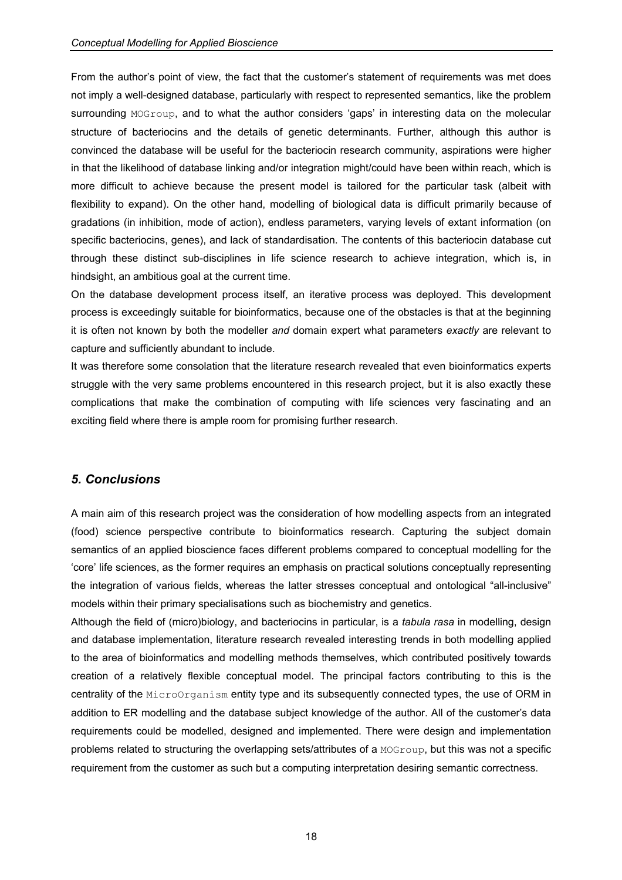From the author's point of view, the fact that the customer's statement of requirements was met does not imply a well-designed database, particularly with respect to represented semantics, like the problem surrounding MOGroup, and to what the author considers 'gaps' in interesting data on the molecular structure of bacteriocins and the details of genetic determinants. Further, although this author is convinced the database will be useful for the bacteriocin research community, aspirations were higher in that the likelihood of database linking and/or integration might/could have been within reach, which is more difficult to achieve because the present model is tailored for the particular task (albeit with flexibility to expand). On the other hand, modelling of biological data is difficult primarily because of gradations (in inhibition, mode of action), endless parameters, varying levels of extant information (on specific bacteriocins, genes), and lack of standardisation. The contents of this bacteriocin database cut through these distinct sub-disciplines in life science research to achieve integration, which is, in hindsight, an ambitious goal at the current time.

On the database development process itself, an iterative process was deployed. This development process is exceedingly suitable for bioinformatics, because one of the obstacles is that at the beginning it is often not known by both the modeller *and* domain expert what parameters *exactly* are relevant to capture and sufficiently abundant to include.

It was therefore some consolation that the literature research revealed that even bioinformatics experts struggle with the very same problems encountered in this research project, but it is also exactly these complications that make the combination of computing with life sciences very fascinating and an exciting field where there is ample room for promising further research.

# *5. Conclusions*

A main aim of this research project was the consideration of how modelling aspects from an integrated (food) science perspective contribute to bioinformatics research. Capturing the subject domain semantics of an applied bioscience faces different problems compared to conceptual modelling for the 'core' life sciences, as the former requires an emphasis on practical solutions conceptually representing the integration of various fields, whereas the latter stresses conceptual and ontological "all-inclusive" models within their primary specialisations such as biochemistry and genetics.

Although the field of (micro)biology, and bacteriocins in particular, is a *tabula rasa* in modelling, design and database implementation, literature research revealed interesting trends in both modelling applied to the area of bioinformatics and modelling methods themselves, which contributed positively towards creation of a relatively flexible conceptual model. The principal factors contributing to this is the centrality of the MicroOrganism entity type and its subsequently connected types, the use of ORM in addition to ER modelling and the database subject knowledge of the author. All of the customer's data requirements could be modelled, designed and implemented. There were design and implementation problems related to structuring the overlapping sets/attributes of a MOGroup, but this was not a specific requirement from the customer as such but a computing interpretation desiring semantic correctness.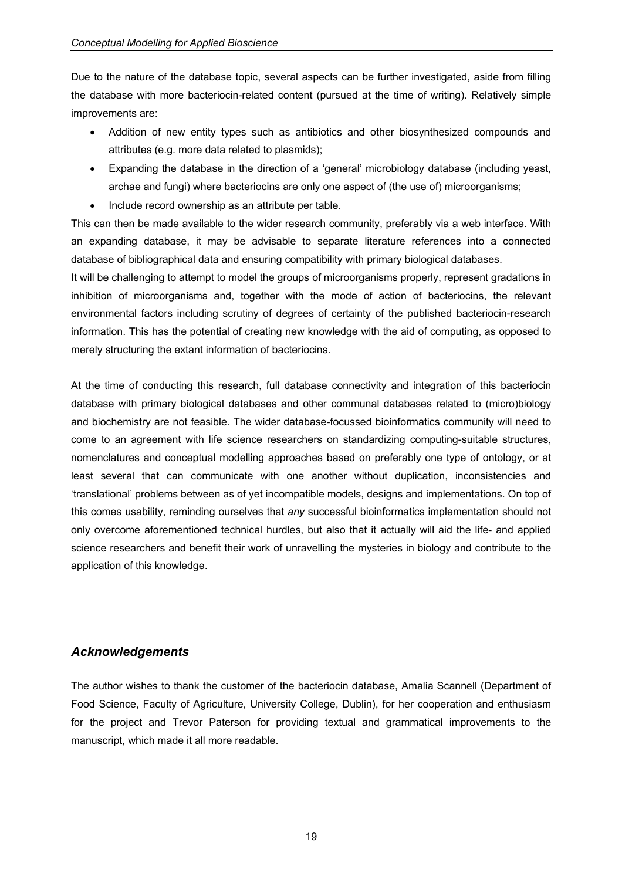Due to the nature of the database topic, several aspects can be further investigated, aside from filling the database with more bacteriocin-related content (pursued at the time of writing). Relatively simple improvements are:

- Addition of new entity types such as antibiotics and other biosynthesized compounds and attributes (e.g. more data related to plasmids);
- Expanding the database in the direction of a 'general' microbiology database (including yeast, archae and fungi) where bacteriocins are only one aspect of (the use of) microorganisms;
- Include record ownership as an attribute per table.

This can then be made available to the wider research community, preferably via a web interface. With an expanding database, it may be advisable to separate literature references into a connected database of bibliographical data and ensuring compatibility with primary biological databases.

It will be challenging to attempt to model the groups of microorganisms properly, represent gradations in inhibition of microorganisms and, together with the mode of action of bacteriocins, the relevant environmental factors including scrutiny of degrees of certainty of the published bacteriocin-research information. This has the potential of creating new knowledge with the aid of computing, as opposed to merely structuring the extant information of bacteriocins.

At the time of conducting this research, full database connectivity and integration of this bacteriocin database with primary biological databases and other communal databases related to (micro)biology and biochemistry are not feasible. The wider database-focussed bioinformatics community will need to come to an agreement with life science researchers on standardizing computing-suitable structures, nomenclatures and conceptual modelling approaches based on preferably one type of ontology, or at least several that can communicate with one another without duplication, inconsistencies and 'translational' problems between as of yet incompatible models, designs and implementations. On top of this comes usability, reminding ourselves that *any* successful bioinformatics implementation should not only overcome aforementioned technical hurdles, but also that it actually will aid the life- and applied science researchers and benefit their work of unravelling the mysteries in biology and contribute to the application of this knowledge.

# *Acknowledgements*

The author wishes to thank the customer of the bacteriocin database, Amalia Scannell (Department of Food Science, Faculty of Agriculture, University College, Dublin), for her cooperation and enthusiasm for the project and Trevor Paterson for providing textual and grammatical improvements to the manuscript, which made it all more readable.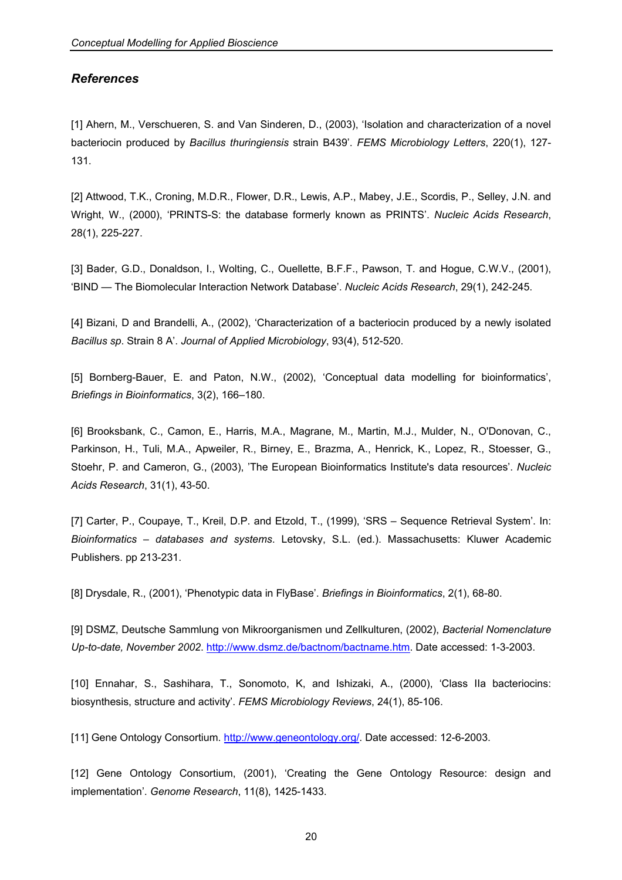### *References*

[1] Ahern, M., Verschueren, S. and Van Sinderen, D., (2003), 'Isolation and characterization of a novel bacteriocin produced by *Bacillus thuringiensis* strain B439'. *FEMS Microbiology Letters*, 220(1), 127- 131.

[2] Attwood, T.K., Croning, M.D.R., Flower, D.R., Lewis, A.P., Mabey, J.E., Scordis, P., Selley, J.N. and Wright, W., (2000), 'PRINTS-S: the database formerly known as PRINTS'. *Nucleic Acids Research*, 28(1), 225-227.

[3] Bader, G.D., Donaldson, I., Wolting, C., Ouellette, B.F.F., Pawson, T. and Hogue, C.W.V., (2001), 'BIND — The Biomolecular Interaction Network Database'. *Nucleic Acids Research*, 29(1), 242-245.

[4] Bizani, D and Brandelli, A., (2002), 'Characterization of a bacteriocin produced by a newly isolated *Bacillus sp*. Strain 8 A'. *Journal of Applied Microbiology*, 93(4), 512-520.

[5] Bornberg-Bauer, E. and Paton, N.W., (2002), 'Conceptual data modelling for bioinformatics', *Briefings in Bioinformatics*, 3(2), 166–180.

[6] Brooksbank, C., Camon, E., Harris, M.A., Magrane, M., Martin, M.J., Mulder, N., O'Donovan, C., Parkinson, H., Tuli, M.A., Apweiler, R., Birney, E., Brazma, A., Henrick, K., Lopez, R., Stoesser, G., Stoehr, P. and Cameron, G., (2003), 'The European Bioinformatics Institute's data resources'. *Nucleic Acids Research*, 31(1), 43-50.

[7] Carter, P., Coupaye, T., Kreil, D.P. and Etzold, T., (1999), 'SRS – Sequence Retrieval System'. In: *Bioinformatics – databases and systems*. Letovsky, S.L. (ed.). Massachusetts: Kluwer Academic Publishers. pp 213-231.

[8] Drysdale, R., (2001), 'Phenotypic data in FlyBase'. *Briefings in Bioinformatics*, 2(1), 68-80.

[9] DSMZ, Deutsche Sammlung von Mikroorganismen und Zellkulturen, (2002), *Bacterial Nomenclature Up-to-date, November 2002*. http://www.dsmz.de/bactnom/bactname.htm. Date accessed: 1-3-2003.

[10] Ennahar, S., Sashihara, T., Sonomoto, K, and Ishizaki, A., (2000), 'Class IIa bacteriocins: biosynthesis, structure and activity'. *FEMS Microbiology Reviews*, 24(1), 85-106.

[11] Gene Ontology Consortium. http://www.geneontology.org/. Date accessed: 12-6-2003.

[12] Gene Ontology Consortium, (2001), 'Creating the Gene Ontology Resource: design and implementation'. *Genome Research*, 11(8), 1425-1433.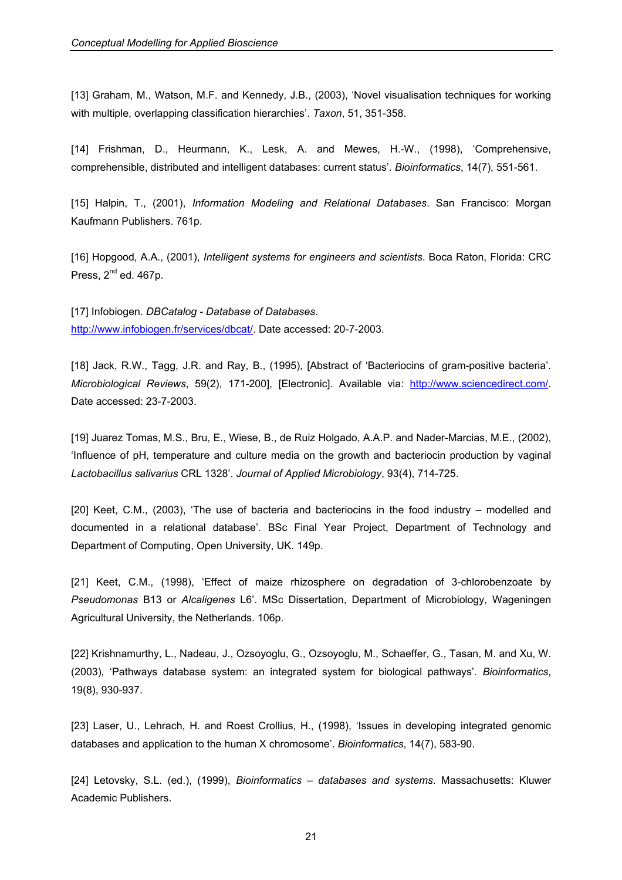[13] Graham, M., Watson, M.F. and Kennedy, J.B., (2003), 'Novel visualisation techniques for working with multiple, overlapping classification hierarchies'. *Taxon*, 51, 351-358.

[14] Frishman, D., Heurmann, K., Lesk, A. and Mewes, H.-W., (1998), 'Comprehensive, comprehensible, distributed and intelligent databases: current status'. *Bioinformatics*, 14(7), 551-561.

[15] Halpin, T., (2001), *Information Modeling and Relational Databases*. San Francisco: Morgan Kaufmann Publishers. 761p.

[16] Hopgood, A.A., (2001), *Intelligent systems for engineers and scientists*. Boca Raton, Florida: CRC Press,  $2^{nd}$  ed. 467p.

[17] Infobiogen. *DBCatalog - Database of Databases*. http://www.infobiogen.fr/services/dbcat/. Date accessed: 20-7-2003.

[18] Jack, R.W., Tagg, J.R. and Ray, B., (1995), [Abstract of 'Bacteriocins of gram-positive bacteria'. *Microbiological Reviews*, 59(2), 171-200], [Electronic]. Available via: http://www.sciencedirect.com/. Date accessed: 23-7-2003.

[19] Juarez Tomas, M.S., Bru, E., Wiese, B., de Ruiz Holgado, A.A.P. and Nader-Marcias, M.E., (2002), 'Influence of pH, temperature and culture media on the growth and bacteriocin production by vaginal *Lactobacillus salivarius* CRL 1328'. *Journal of Applied Microbiology*, 93(4), 714-725.

[20] Keet, C.M., (2003), 'The use of bacteria and bacteriocins in the food industry – modelled and documented in a relational database'. BSc Final Year Project, Department of Technology and Department of Computing, Open University, UK. 149p.

[21] Keet, C.M., (1998), 'Effect of maize rhizosphere on degradation of 3-chlorobenzoate by *Pseudomonas* B13 or *Alcaligenes* L6'. MSc Dissertation, Department of Microbiology, Wageningen Agricultural University, the Netherlands. 106p.

[22] Krishnamurthy, L., Nadeau, J., Ozsoyoglu, G., Ozsoyoglu, M., Schaeffer, G., Tasan, M. and Xu, W. (2003), 'Pathways database system: an integrated system for biological pathways'. *Bioinformatics*, 19(8), 930-937.

[23] Laser, U., Lehrach, H. and Roest Crollius, H., (1998), 'Issues in developing integrated genomic databases and application to the human X chromosome'. *Bioinformatics*, 14(7), 583-90.

[24] Letovsky, S.L. (ed.), (1999), *Bioinformatics – databases and systems*. Massachusetts: Kluwer Academic Publishers.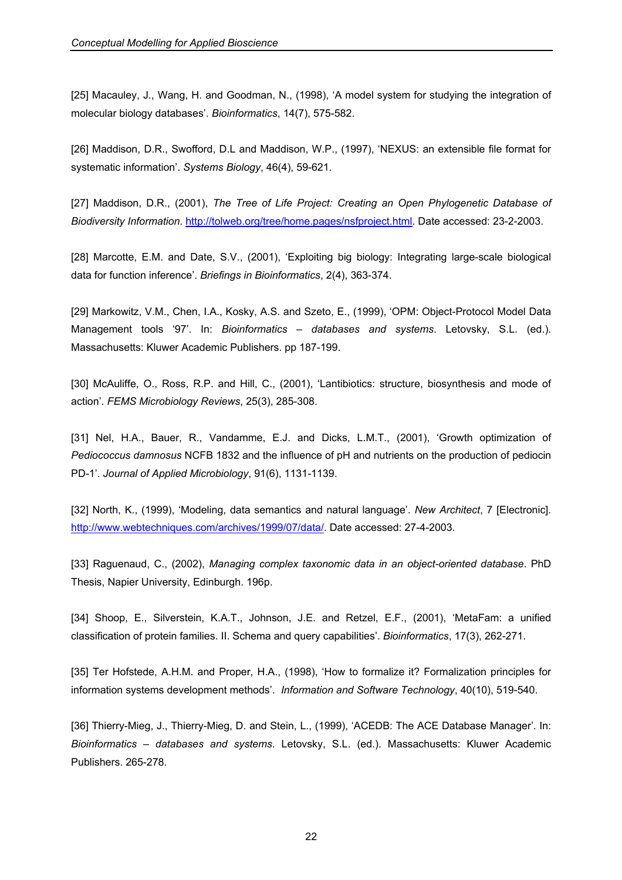[25] Macauley, J., Wang, H. and Goodman, N., (1998), 'A model system for studying the integration of molecular biology databases'. *Bioinformatics*, 14(7), 575-582.

[26] Maddison, D.R., Swofford, D.L and Maddison, W.P., (1997), 'NEXUS: an extensible file format for systematic information'. *Systems Biology*, 46(4), 59-621.

[27] Maddison, D.R., (2001), *The Tree of Life Project: Creating an Open Phylogenetic Database of Biodiversity Information*. http://tolweb.org/tree/home.pages/nsfproject.html. Date accessed: 23-2-2003.

[28] Marcotte, E.M. and Date, S.V., (2001), 'Exploiting big biology: Integrating large-scale biological data for function inference'. *Briefings in Bioinformatics*, 2(4), 363-374.

[29] Markowitz, V.M., Chen, I.A., Kosky, A.S. and Szeto, E., (1999), 'OPM: Object-Protocol Model Data Management tools '97'. In: *Bioinformatics – databases and systems*. Letovsky, S.L. (ed.). Massachusetts: Kluwer Academic Publishers. pp 187-199.

[30] McAuliffe, O., Ross, R.P. and Hill, C., (2001), 'Lantibiotics: structure, biosynthesis and mode of action'. *FEMS Microbiology Reviews*, 25(3), 285-308.

[31] Nel, H.A., Bauer, R., Vandamme, E.J. and Dicks, L.M.T., (2001), 'Growth optimization of *Pediococcus damnosus* NCFB 1832 and the influence of pH and nutrients on the production of pediocin PD-1'. *Journal of Applied Microbiology*, 91(6), 1131-1139.

[32] North, K., (1999), 'Modeling, data semantics and natural language'. *New Architect*, 7 [Electronic]. http://www.webtechniques.com/archives/1999/07/data/. Date accessed: 27-4-2003.

[33] Raguenaud, C., (2002), *Managing complex taxonomic data in an object-oriented database*. PhD Thesis, Napier University, Edinburgh. 196p.

[34] Shoop, E., Silverstein, K.A.T., Johnson, J.E. and Retzel, E.F., (2001), 'MetaFam: a unified classification of protein families. II. Schema and query capabilities'. *Bioinformatics*, 17(3), 262-271.

[35] Ter Hofstede, A.H.M. and Proper, H.A., (1998), 'How to formalize it? Formalization principles for information systems development methods'. *Information and Software Technology*, 40(10), 519-540.

[36] Thierry-Mieg, J., Thierry-Mieg, D. and Stein, L., (1999), 'ACEDB: The ACE Database Manager'. In: *Bioinformatics – databases and systems*. Letovsky, S.L. (ed.). Massachusetts: Kluwer Academic Publishers. 265-278.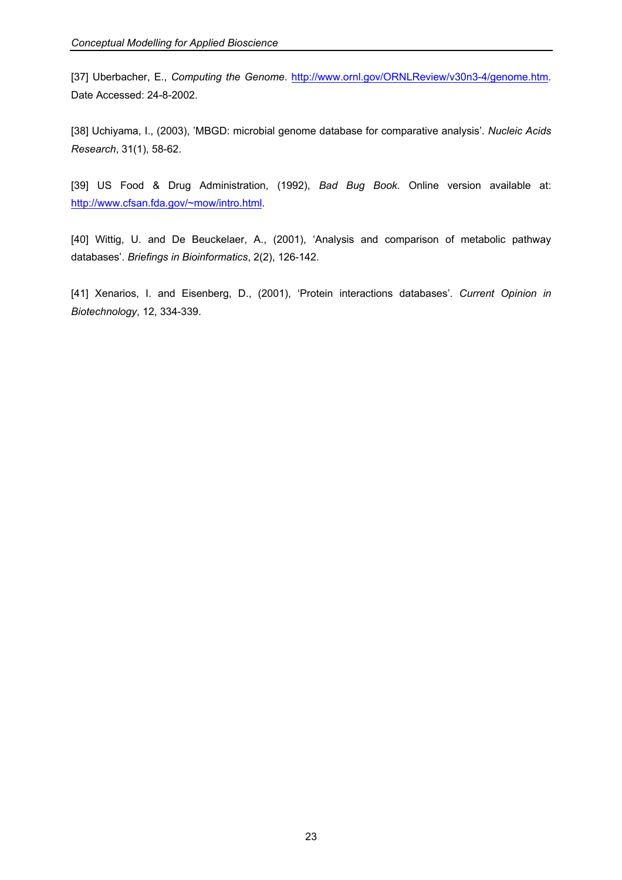[37] Uberbacher, E., *Computing the Genome*. http://www.ornl.gov/ORNLReview/v30n3-4/genome.htm. Date Accessed: 24-8-2002.

[38] Uchiyama, I., (2003), 'MBGD: microbial genome database for comparative analysis'. *Nucleic Acids Research*, 31(1), 58-62.

[39] US Food & Drug Administration, (1992), *Bad Bug Book*. Online version available at: http://www.cfsan.fda.gov/~mow/intro.html.

[40] Wittig, U. and De Beuckelaer, A., (2001), 'Analysis and comparison of metabolic pathway databases'. *Briefings in Bioinformatics*, 2(2), 126-142.

[41] Xenarios, I. and Eisenberg, D., (2001), 'Protein interactions databases'. *Current Opinion in Biotechnology*, 12, 334-339.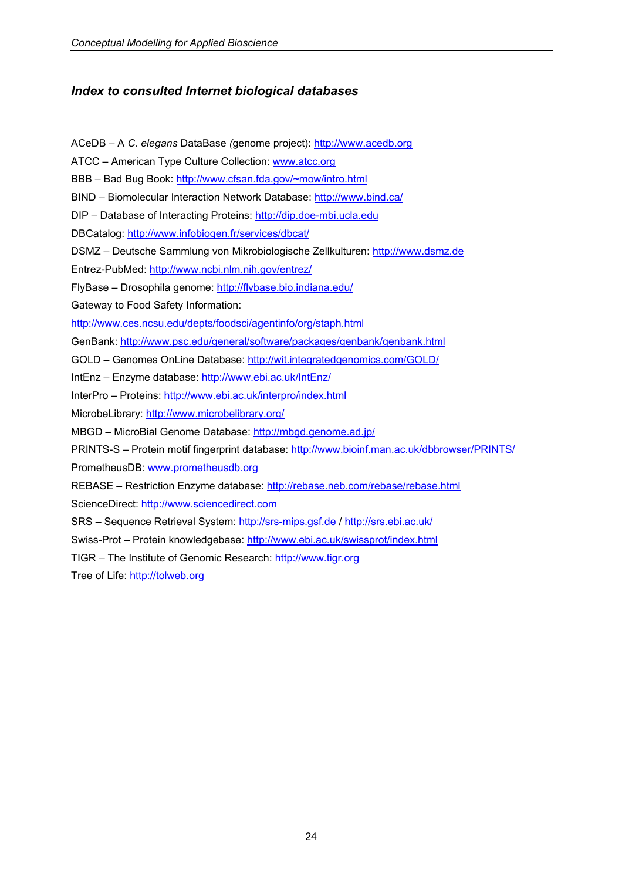# *Index to consulted Internet biological databases*

ACeDB – A *C. elegans* DataBase *(*genome project): http://www.acedb.org ATCC – American Type Culture Collection: www.atcc.org BBB – Bad Bug Book: http://www.cfsan.fda.gov/~mow/intro.html BIND - Biomolecular Interaction Network Database: http://www.bind.ca/ DIP – Database of Interacting Proteins: http://dip.doe-mbi.ucla.edu DBCatalog: http://www.infobiogen.fr/services/dbcat/ DSMZ – Deutsche Sammlung von Mikrobiologische Zellkulturen: http://www.dsmz.de Entrez-PubMed: http://www.ncbi.nlm.nih.gov/entrez/ FlyBase – Drosophila genome: http://flybase.bio.indiana.edu/ Gateway to Food Safety Information: http://www.ces.ncsu.edu/depts/foodsci/agentinfo/org/staph.html GenBank: http://www.psc.edu/general/software/packages/genbank/genbank.html GOLD – Genomes OnLine Database: http://wit.integratedgenomics.com/GOLD/ IntEnz – Enzyme database: http://www.ebi.ac.uk/IntEnz/ InterPro – Proteins: http://www.ebi.ac.uk/interpro/index.html MicrobeLibrary: http://www.microbelibrary.org/ MBGD – MicroBial Genome Database: http://mbgd.genome.ad.jp/ PRINTS-S – Protein motif fingerprint database: http://www.bioinf.man.ac.uk/dbbrowser/PRINTS/ PrometheusDB: www.prometheusdb.org REBASE – Restriction Enzyme database: http://rebase.neb.com/rebase/rebase.html ScienceDirect: http://www.sciencedirect.com SRS – Sequence Retrieval System: http://srs-mips.gsf.de / http://srs.ebi.ac.uk/ Swiss-Prot - Protein knowledgebase: http://www.ebi.ac.uk/swissprot/index.html TIGR – The Institute of Genomic Research: http://www.tigr.org Tree of Life: http://tolweb.org